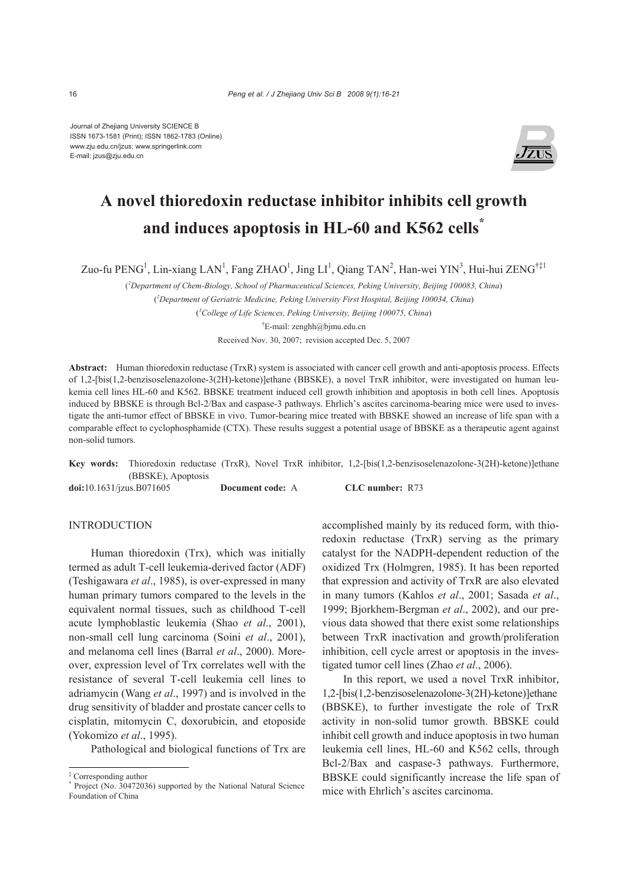Journal of Zhejiang University SCIENCE B ISSN 1673-1581 (Print); ISSN 1862-1783 (Online) www.zju.edu.cn/jzus; www.springerlink.com E-mail: jzus@zju.edu.cn



# **A novel thioredoxin reductase inhibitor inhibits cell growth and induces apoptosis in HL-60 and K562 cells\***

Zuo-fu PENG<sup>1</sup>, Lin-xiang LAN<sup>1</sup>, Fang ZHAO<sup>1</sup>, Jing LI<sup>1</sup>, Qiang TAN<sup>2</sup>, Han-wei YIN<sup>3</sup>, Hui-hui ZENG<sup>†‡1</sup>

( *1 Department of Chem-Biology, School of Pharmaceutical Sciences, Peking University, Beijing 100083, China*) ( *2 Department of Geriatric Medicine, Peking University First Hospital, Beijing 100034, China*) ( *3 College of Life Sciences, Peking University, Beijing 100075, China*)

† E-mail: zenghh@bjmu.edu.cn

Received Nov. 30, 2007; revision accepted Dec. 5, 2007

**Abstract:** Human thioredoxin reductase (TrxR) system is associated with cancer cell growth and anti-apoptosis process. Effects of 1,2-[bis(1,2-benzisoselenazolone-3(2H)-ketone)]ethane (BBSKE), a novel TrxR inhibitor, were investigated on human leukemia cell lines HL-60 and K562. BBSKE treatment induced cell growth inhibition and apoptosis in both cell lines. Apoptosis induced by BBSKE is through Bcl-2/Bax and caspase-3 pathways. Ehrlich's ascites carcinoma-bearing mice were used to investigate the anti-tumor effect of BBSKE in vivo. Tumor-bearing mice treated with BBSKE showed an increase of life span with a comparable effect to cyclophosphamide (CTX). These results suggest a potential usage of BBSKE as a therapeutic agent against non-solid tumors.

**Key words:** Thioredoxin reductase (TrxR), Novel TrxR inhibitor, 1,2-[bis(1,2-benzisoselenazolone-3(2H)-ketone)]ethane (BBSKE), Apoptosis

**doi:**10.1631/jzus.B071605 **Document code:** A **CLC number:** R73

## INTRODUCTION

Human thioredoxin (Trx), which was initially termed as adult T-cell leukemia-derived factor (ADF) (Teshigawara *et al*., 1985), is over-expressed in many human primary tumors compared to the levels in the equivalent normal tissues, such as childhood T-cell acute lymphoblastic leukemia (Shao *et al*., 2001), non-small cell lung carcinoma (Soini *et al*., 2001), and melanoma cell lines (Barral *et al*., 2000). Moreover, expression level of Trx correlates well with the resistance of several T-cell leukemia cell lines to adriamycin (Wang *et al*., 1997) and is involved in the drug sensitivity of bladder and prostate cancer cells to cisplatin, mitomycin C, doxorubicin, and etoposide (Yokomizo *et al*., 1995).

Pathological and biological functions of Trx are

accomplished mainly by its reduced form, with thioredoxin reductase (TrxR) serving as the primary catalyst for the NADPH-dependent reduction of the oxidized Trx (Holmgren, 1985). It has been reported that expression and activity of TrxR are also elevated in many tumors (Kahlos *et al*., 2001; Sasada *et al*., 1999; Bjorkhem-Bergman *et al*., 2002), and our previous data showed that there exist some relationships between TrxR inactivation and growth/proliferation inhibition, cell cycle arrest or apoptosis in the investigated tumor cell lines (Zhao *et al*., 2006).

In this report, we used a novel TrxR inhibitor, 1,2-[bis(1,2-benzisoselenazolone-3(2H)-ketone)]ethane (BBSKE), to further investigate the role of TrxR activity in non-solid tumor growth. BBSKE could inhibit cell growth and induce apoptosis in two human leukemia cell lines, HL-60 and K562 cells, through Bcl-2/Bax and caspase-3 pathways. Furthermore, BBSKE could significantly increase the life span of mice with Ehrlich's ascites carcinoma.

<sup>‡</sup> Corresponding author

<sup>\*</sup> Project (No. 30472036) supported by the National Natural Science Foundation of China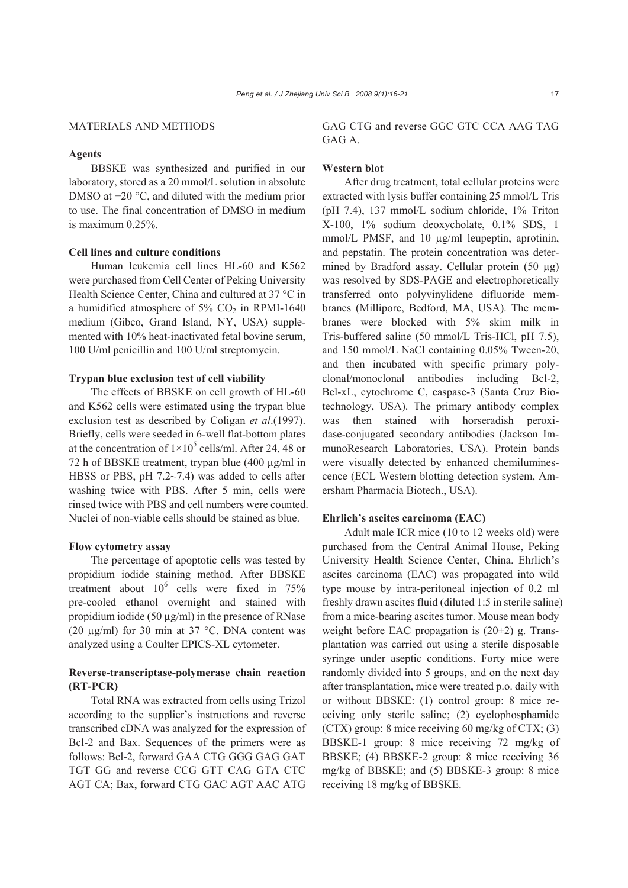#### MATERIALS AND METHODS

## **Agents**

BBSKE was synthesized and purified in our laboratory, stored as a 20 mmol/L solution in absolute DMSO at −20 °C, and diluted with the medium prior to use. The final concentration of DMSO in medium is maximum 0.25%.

## **Cell lines and culture conditions**

Human leukemia cell lines HL-60 and K562 were purchased from Cell Center of Peking University Health Science Center, China and cultured at 37 °C in a humidified atmosphere of  $5\%$  CO<sub>2</sub> in RPMI-1640 medium (Gibco, Grand Island, NY, USA) supplemented with 10% heat-inactivated fetal bovine serum, 100 U/ml penicillin and 100 U/ml streptomycin.

#### **Trypan blue exclusion test of cell viability**

The effects of BBSKE on cell growth of HL-60 and K562 cells were estimated using the trypan blue exclusion test as described by Coligan *et al*.(1997). Briefly, cells were seeded in 6-well flat-bottom plates at the concentration of  $1 \times 10^5$  cells/ml. After 24, 48 or 72 h of BBSKE treatment, trypan blue (400 µg/ml in HBSS or PBS, pH 7.2~7.4) was added to cells after washing twice with PBS. After 5 min, cells were rinsed twice with PBS and cell numbers were counted. Nuclei of non-viable cells should be stained as blue.

## **Flow cytometry assay**

The percentage of apoptotic cells was tested by propidium iodide staining method. After BBSKE treatment about  $10^6$  cells were fixed in 75% pre-cooled ethanol overnight and stained with propidium iodide (50  $\mu$ g/ml) in the presence of RNase (20  $\mu$ g/ml) for 30 min at 37 °C. DNA content was analyzed using a Coulter EPICS-XL cytometer.

## **Reverse-transcriptase-polymerase chain reaction (RT-PCR)**

Total RNA was extracted from cells using Trizol according to the supplier's instructions and reverse transcribed cDNA was analyzed for the expression of Bcl-2 and Bax. Sequences of the primers were as follows: Bcl-2, forward GAA CTG GGG GAG GAT TGT GG and reverse CCG GTT CAG GTA CTC AGT CA; Bax, forward CTG GAC AGT AAC ATG GAG CTG and reverse GGC GTC CCA AAG TAG GAG A.

## **Western blot**

After drug treatment, total cellular proteins were extracted with lysis buffer containing 25 mmol/L Tris (pH 7.4), 137 mmol/L sodium chloride, 1% Triton X-100, 1% sodium deoxycholate, 0.1% SDS, 1 mmol/L PMSF, and 10  $\mu$ g/ml leupeptin, aprotinin, and pepstatin. The protein concentration was determined by Bradford assay. Cellular protein (50 µg) was resolved by SDS-PAGE and electrophoretically transferred onto polyvinylidene difluoride membranes (Millipore, Bedford, MA, USA). The membranes were blocked with 5% skim milk in Tris-buffered saline (50 mmol/L Tris-HCl, pH 7.5), and 150 mmol/L NaCl containing 0.05% Tween-20, and then incubated with specific primary polyclonal/monoclonal antibodies including Bcl-2, Bcl-xL, cytochrome C, caspase-3 (Santa Cruz Biotechnology, USA). The primary antibody complex was then stained with horseradish peroxidase-conjugated secondary antibodies (Jackson ImmunoResearch Laboratories, USA). Protein bands were visually detected by enhanced chemiluminescence (ECL Western blotting detection system, Amersham Pharmacia Biotech., USA).

### **Ehrlich's ascites carcinoma (EAC)**

Adult male ICR mice (10 to 12 weeks old) were purchased from the Central Animal House, Peking University Health Science Center, China. Ehrlich's ascites carcinoma (EAC) was propagated into wild type mouse by intra-peritoneal injection of 0.2 ml freshly drawn ascites fluid (diluted 1:5 in sterile saline) from a mice-bearing ascites tumor. Mouse mean body weight before EAC propagation is (20±2) g. Transplantation was carried out using a sterile disposable syringe under aseptic conditions. Forty mice were randomly divided into 5 groups, and on the next day after transplantation, mice were treated p.o. daily with or without BBSKE: (1) control group: 8 mice receiving only sterile saline; (2) cyclophosphamide (CTX) group: 8 mice receiving 60 mg/kg of CTX; (3) BBSKE-1 group: 8 mice receiving 72 mg/kg of BBSKE; (4) BBSKE-2 group: 8 mice receiving 36 mg/kg of BBSKE; and (5) BBSKE-3 group: 8 mice receiving 18 mg/kg of BBSKE.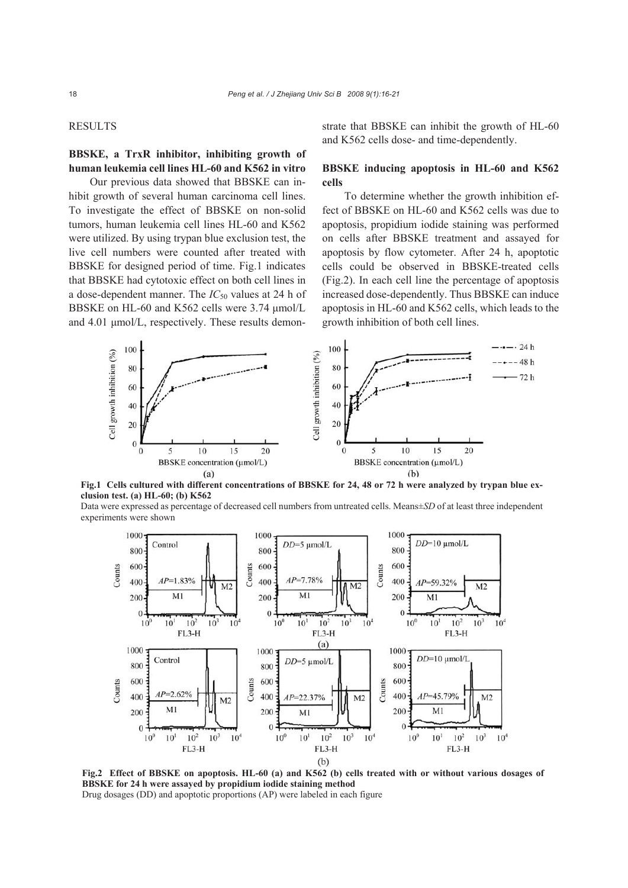#### RESULTS

# **BBSKE, a TrxR inhibitor, inhibiting growth of human leukemia cell lines HL-60 and K562 in vitro**

Our previous data showed that BBSKE can inhibit growth of several human carcinoma cell lines. To investigate the effect of BBSKE on non-solid tumors, human leukemia cell lines HL-60 and K562 were utilized. By using trypan blue exclusion test, the live cell numbers were counted after treated with BBSKE for designed period of time. Fig.1 indicates that BBSKE had cytotoxic effect on both cell lines in a dose-dependent manner. The *IC*50 values at 24 h of BBSKE on HL-60 and K562 cells were 3.74 μmol/L and 4.01 μmol/L, respectively. These results demonstrate that BBSKE can inhibit the growth of HL-60 and K562 cells dose- and time-dependently.

## **BBSKE inducing apoptosis in HL-60 and K562 cells**

To determine whether the growth inhibition effect of BBSKE on HL-60 and K562 cells was due to apoptosis, propidium iodide staining was performed on cells after BBSKE treatment and assayed for apoptosis by flow cytometer. After 24 h, apoptotic cells could be observed in BBSKE-treated cells (Fig.2). In each cell line the percentage of apoptosis increased dose-dependently. Thus BBSKE can induce apoptosis in HL-60 and K562 cells, which leads to the growth inhibition of both cell lines.



**Fig.1 Cells cultured with different concentrations of BBSKE for 24, 48 or 72 h were analyzed by trypan blue exclusion test. (a) HL-60; (b) K562** 

Data were expressed as percentage of decreased cell numbers from untreated cells. Means±*SD* of at least three independent experiments were shown



**Fig.2 Effect of BBSKE on apoptosis. HL-60 (a) and K562 (b) cells treated with or without various dosages of BBSKE for 24 h were assayed by propidium iodide staining method**  Drug dosages (DD) and apoptotic proportions (AP) were labeled in each figure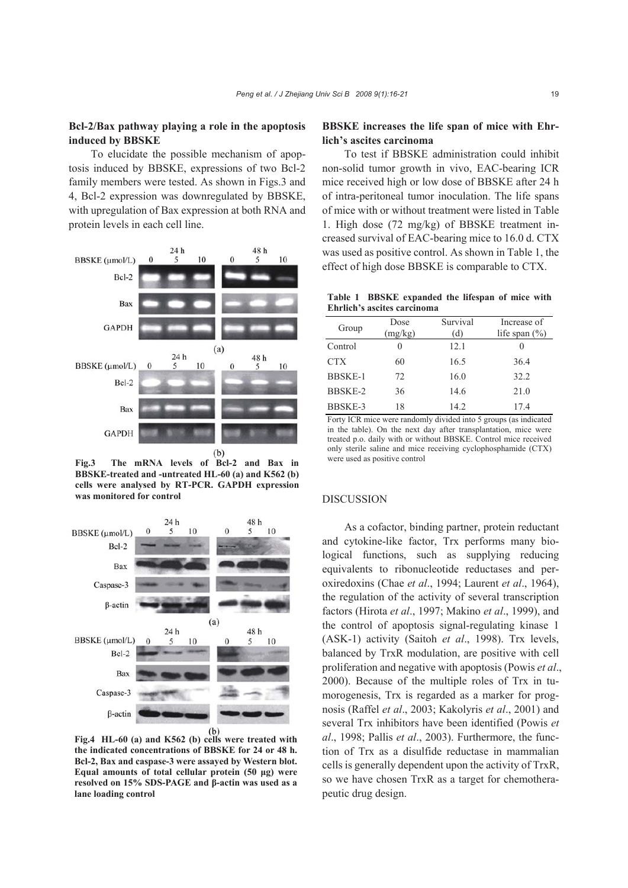## **Bcl-2/Bax pathway playing a role in the apoptosis induced by BBSKE**

To elucidate the possible mechanism of apoptosis induced by BBSKE, expressions of two Bcl-2 family members were tested. As shown in Figs.3 and 4, Bcl-2 expression was downregulated by BBSKE, with upregulation of Bax expression at both RNA and protein levels in each cell line.



**Fig.3 The mRNA levels of Bcl-2 and Bax in BBSKE-treated and -untreated HL-60 (a) and K562 (b) cells were analysed by RT-PCR. GAPDH expression was monitored for control** 



**Fig.4 HL-60 (a) and K562 (b) cells were treated with the indicated concentrations of BBSKE for 24 or 48 h. Bcl-2, Bax and caspase-3 were assayed by Western blot. Equal amounts of total cellular protein (50 μg) were resolved on 15% SDS-PAGE and β-actin was used as a lane loading control** 

# **BBSKE increases the life span of mice with Ehrlich's ascites carcinoma**

To test if BBSKE administration could inhibit non-solid tumor growth in vivo, EAC-bearing ICR mice received high or low dose of BBSKE after 24 h of intra-peritoneal tumor inoculation. The life spans of mice with or without treatment were listed in Table 1. High dose (72 mg/kg) of BBSKE treatment increased survival of EAC-bearing mice to 16.0 d. CTX was used as positive control. As shown in Table 1, the effect of high dose BBSKE is comparable to CTX.

**Table 1 BBSKE expanded the lifespan of mice with Ehrlich's ascites carcinoma** 

| Group          | Dose<br>(mg/kg) | Survival<br>(d) | Increase of<br>life span $(\% )$ |
|----------------|-----------------|-----------------|----------------------------------|
| Control        | $\mathbf{0}$    | 12.1            |                                  |
| <b>CTX</b>     | 60              | 16.5            | 36.4                             |
| <b>BBSKE-1</b> | 72              | 16.0            | 32.2                             |
| BBSKE-2        | 36              | 14.6            | 21.0                             |
| BBSKE-3        | 18              | 14.2            | 17.4                             |

Forty ICR mice were randomly divided into 5 groups (as indicated in the table). On the next day after transplantation, mice were treated p.o. daily with or without BBSKE. Control mice received only sterile saline and mice receiving cyclophosphamide (CTX) were used as positive control

#### DISCUSSION

As a cofactor, binding partner, protein reductant and cytokine-like factor, Trx performs many biological functions, such as supplying reducing equivalents to ribonucleotide reductases and peroxiredoxins (Chae *et al*., 1994; Laurent *et al*., 1964), the regulation of the activity of several transcription factors (Hirota *et al*., 1997; Makino *et al*., 1999), and the control of apoptosis signal-regulating kinase 1 (ASK-1) activity (Saitoh *et al*., 1998). Trx levels, balanced by TrxR modulation, are positive with cell proliferation and negative with apoptosis (Powis *et al*., 2000). Because of the multiple roles of Trx in tumorogenesis, Trx is regarded as a marker for prognosis (Raffel *et al*., 2003; Kakolyris *et al*., 2001) and several Trx inhibitors have been identified (Powis *et al*., 1998; Pallis *et al*., 2003). Furthermore, the function of Trx as a disulfide reductase in mammalian cells is generally dependent upon the activity of TrxR, so we have chosen TrxR as a target for chemotherapeutic drug design.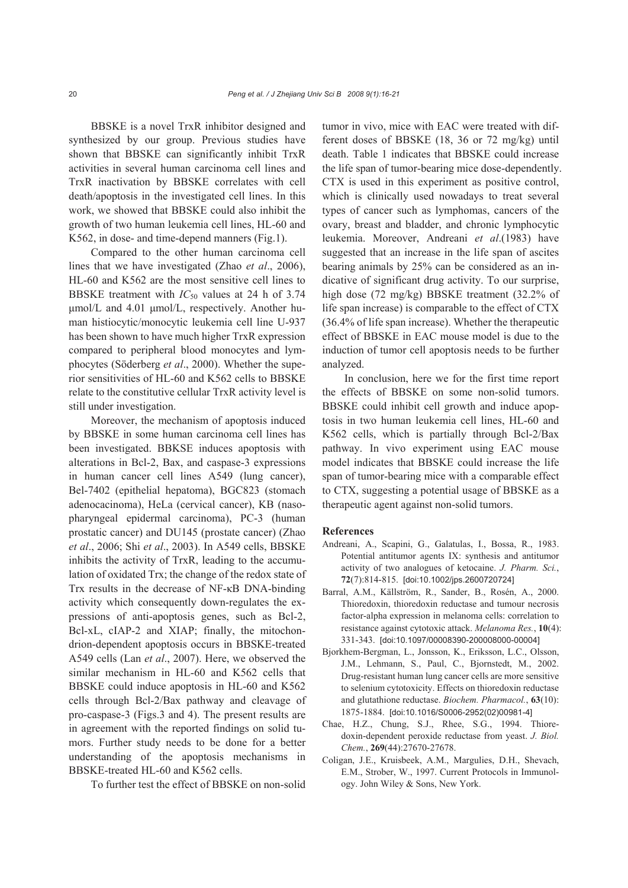BBSKE is a novel TrxR inhibitor designed and synthesized by our group. Previous studies have shown that BBSKE can significantly inhibit TrxR activities in several human carcinoma cell lines and TrxR inactivation by BBSKE correlates with cell death/apoptosis in the investigated cell lines. In this work, we showed that BBSKE could also inhibit the growth of two human leukemia cell lines, HL-60 and K562, in dose- and time-depend manners (Fig.1).

Compared to the other human carcinoma cell lines that we have investigated (Zhao *et al*., 2006), HL-60 and K562 are the most sensitive cell lines to BBSKE treatment with  $IC_{50}$  values at 24 h of 3.74 μmol/L and 4.01 μmol/L, respectively. Another human histiocytic/monocytic leukemia cell line U-937 has been shown to have much higher TrxR expression compared to peripheral blood monocytes and lymphocytes (Söderberg *et al*., 2000). Whether the superior sensitivities of HL-60 and K562 cells to BBSKE relate to the constitutive cellular TrxR activity level is still under investigation.

Moreover, the mechanism of apoptosis induced by BBSKE in some human carcinoma cell lines has been investigated. BBKSE induces apoptosis with alterations in Bcl-2, Bax, and caspase-3 expressions in human cancer cell lines A549 (lung cancer), Bel-7402 (epithelial hepatoma), BGC823 (stomach adenocacinoma), HeLa (cervical cancer), KB (nasopharyngeal epidermal carcinoma), PC-3 (human prostatic cancer) and DU145 (prostate cancer) (Zhao *et al*., 2006; Shi *et al*., 2003). In A549 cells, BBSKE inhibits the activity of TrxR, leading to the accumulation of oxidated Trx; the change of the redox state of Trx results in the decrease of NF-κB DNA-binding activity which consequently down-regulates the expressions of anti-apoptosis genes, such as Bcl-2, Bcl-xL, cIAP-2 and XIAP; finally, the mitochondrion-dependent apoptosis occurs in BBSKE-treated A549 cells (Lan *et al*., 2007). Here, we observed the similar mechanism in HL-60 and K562 cells that BBSKE could induce apoptosis in HL-60 and K562 cells through Bcl-2/Bax pathway and cleavage of pro-caspase-3 (Figs.3 and 4). The present results are in agreement with the reported findings on solid tumors. Further study needs to be done for a better understanding of the apoptosis mechanisms in BBSKE-treated HL-60 and K562 cells.

To further test the effect of BBSKE on non-solid

tumor in vivo, mice with EAC were treated with different doses of BBSKE (18, 36 or 72 mg/kg) until death. Table 1 indicates that BBSKE could increase the life span of tumor-bearing mice dose-dependently. CTX is used in this experiment as positive control, which is clinically used nowadays to treat several types of cancer such as lymphomas, cancers of the ovary, breast and bladder, and chronic lymphocytic leukemia. Moreover, Andreani *et al*.(1983) have suggested that an increase in the life span of ascites bearing animals by 25% can be considered as an indicative of significant drug activity. To our surprise, high dose (72 mg/kg) BBSKE treatment (32.2% of life span increase) is comparable to the effect of CTX (36.4% of life span increase). Whether the therapeutic effect of BBSKE in EAC mouse model is due to the induction of tumor cell apoptosis needs to be further analyzed.

In conclusion, here we for the first time report the effects of BBSKE on some non-solid tumors. BBSKE could inhibit cell growth and induce apoptosis in two human leukemia cell lines, HL-60 and K562 cells, which is partially through Bcl-2/Bax pathway. In vivo experiment using EAC mouse model indicates that BBSKE could increase the life span of tumor-bearing mice with a comparable effect to CTX, suggesting a potential usage of BBSKE as a therapeutic agent against non-solid tumors.

#### **References**

- Andreani, A., Scapini, G., Galatulas, I., Bossa, R., 1983. Potential antitumor agents IX: synthesis and antitumor activity of two analogues of ketocaine. *J. Pharm. Sci.*, **72**(7):814-815. [doi:10.1002/jps.2600720724]
- Barral, A.M., Källström, R., Sander, B., Rosén, A., 2000. Thioredoxin, thioredoxin reductase and tumour necrosis factor-alpha expression in melanoma cells: correlation to resistance against cytotoxic attack. *Melanoma Res.*, **10**(4): 331-343. [doi:10.1097/00008390-200008000-00004]
- Bjorkhem-Bergman, L., Jonsson, K., Eriksson, L.C., Olsson, J.M., Lehmann, S., Paul, C., Bjornstedt, M., 2002. Drug-resistant human lung cancer cells are more sensitive to selenium cytotoxicity. Effects on thioredoxin reductase and glutathione reductase. *Biochem. Pharmacol.*, **63**(10): 1875-1884. [doi:10.1016/S0006-2952(02)00981-4]
- Chae, H.Z., Chung, S.J., Rhee, S.G., 1994. Thioredoxin-dependent peroxide reductase from yeast. *J. Biol. Chem.*, **269**(44):27670-27678.
- Coligan, J.E., Kruisbeek, A.M., Margulies, D.H., Shevach, E.M., Strober, W., 1997. Current Protocols in Immunology. John Wiley & Sons, New York.